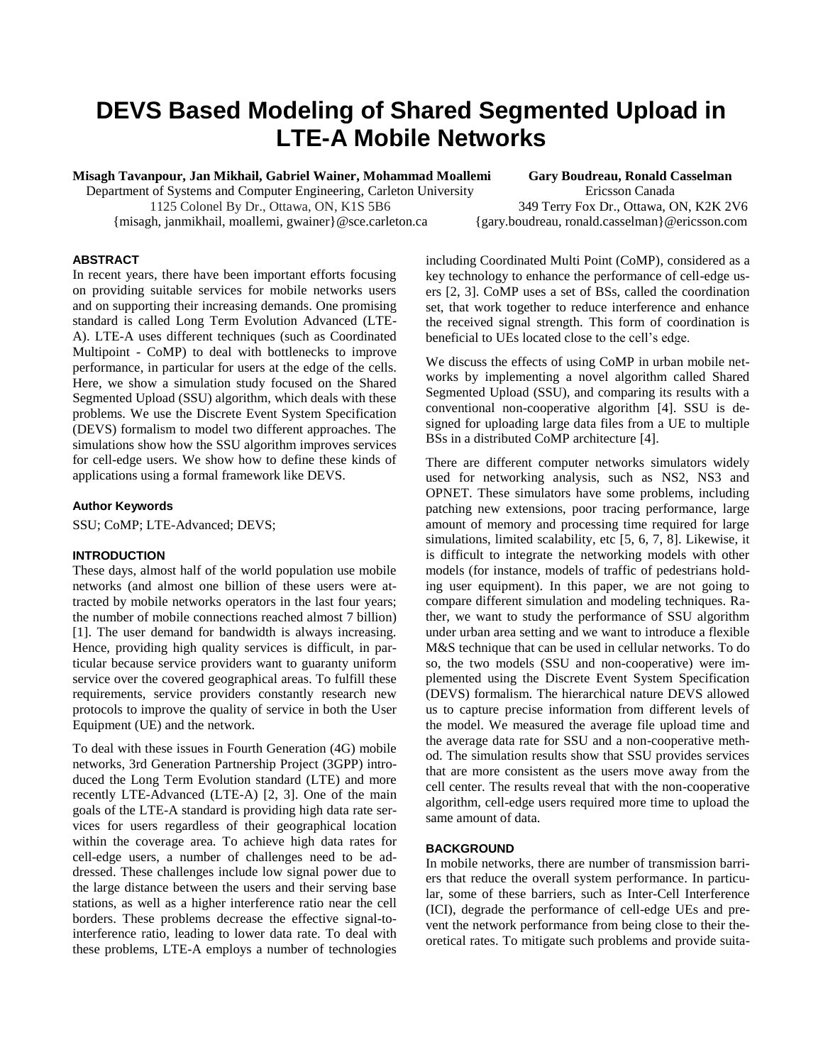# **DEVS Based Modeling of Shared Segmented Upload in LTE-A Mobile Networks**

**Misagh Tavanpour, Jan Mikhail, Gabriel Wainer, Mohammad Moallemi Gary Boudreau, Ronald Casselman**

Department of Systems and Computer Engineering, Carleton University Ericsson Canada

 1125 Colonel By Dr., Ottawa, ON, K1S 5B6 349 Terry Fox Dr., Ottawa, ON, K2K 2V6 {misagh, janmikhail, moallemi, gwainer}@sce.carleton.ca {gary.boudreau, ronald.casselman}@ericsson.com

# **ABSTRACT**

In recent years, there have been important efforts focusing on providing suitable services for mobile networks users and on supporting their increasing demands. One promising standard is called Long Term Evolution Advanced (LTE-A). LTE-A uses different techniques (such as Coordinated Multipoint - CoMP) to deal with bottlenecks to improve performance, in particular for users at the edge of the cells. Here, we show a simulation study focused on the Shared Segmented Upload (SSU) algorithm, which deals with these problems. We use the Discrete Event System Specification (DEVS) formalism to model two different approaches. The simulations show how the SSU algorithm improves services for cell-edge users. We show how to define these kinds of applications using a formal framework like DEVS.

## **Author Keywords**

SSU; CoMP; LTE-Advanced; DEVS;

#### **INTRODUCTION**

These days, almost half of the world population use mobile networks (and almost one billion of these users were attracted by mobile networks operators in the last four years; the number of mobile connections reached almost 7 billion) [1]. The user demand for bandwidth is always increasing. Hence, providing high quality services is difficult, in particular because service providers want to guaranty uniform service over the covered geographical areas. To fulfill these requirements, service providers constantly research new protocols to improve the quality of service in both the User Equipment (UE) and the network.

To deal with these issues in Fourth Generation (4G) mobile networks, 3rd Generation Partnership Project (3GPP) introduced the Long Term Evolution standard (LTE) and more recently LTE-Advanced (LTE-A) [2, 3]. One of the main goals of the LTE-A standard is providing high data rate services for users regardless of their geographical location within the coverage area. To achieve high data rates for cell-edge users, a number of challenges need to be addressed. These challenges include low signal power due to the large distance between the users and their serving base stations, as well as a higher interference ratio near the cell borders. These problems decrease the effective signal-tointerference ratio, leading to lower data rate. To deal with these problems, LTE-A employs a number of technologies including Coordinated Multi Point (CoMP), considered as a key technology to enhance the performance of cell-edge users [2, 3]. CoMP uses a set of BSs, called the coordination set, that work together to reduce interference and enhance the received signal strength. This form of coordination is beneficial to UEs located close to the cell's edge.

We discuss the effects of using CoMP in urban mobile networks by implementing a novel algorithm called Shared Segmented Upload (SSU), and comparing its results with a conventional non-cooperative algorithm [4]. SSU is designed for uploading large data files from a UE to multiple BSs in a distributed CoMP architecture [4].

There are different computer networks simulators widely used for networking analysis, such as NS2, NS3 and OPNET. These simulators have some problems, including patching new extensions, poor tracing performance, large amount of memory and processing time required for large simulations, limited scalability, etc [5, 6, 7, 8]. Likewise, it is difficult to integrate the networking models with other models (for instance, models of traffic of pedestrians holding user equipment). In this paper, we are not going to compare different simulation and modeling techniques. Rather, we want to study the performance of SSU algorithm under urban area setting and we want to introduce a flexible M&S technique that can be used in cellular networks. To do so, the two models (SSU and non-cooperative) were implemented using the Discrete Event System Specification (DEVS) formalism. The hierarchical nature DEVS allowed us to capture precise information from different levels of the model. We measured the average file upload time and the average data rate for SSU and a non-cooperative method. The simulation results show that SSU provides services that are more consistent as the users move away from the cell center. The results reveal that with the non-cooperative algorithm, cell-edge users required more time to upload the same amount of data.

#### **BACKGROUND**

In mobile networks, there are number of transmission barriers that reduce the overall system performance. In particular, some of these barriers, such as Inter-Cell Interference (ICI), degrade the performance of cell-edge UEs and prevent the network performance from being close to their theoretical rates. To mitigate such problems and provide suita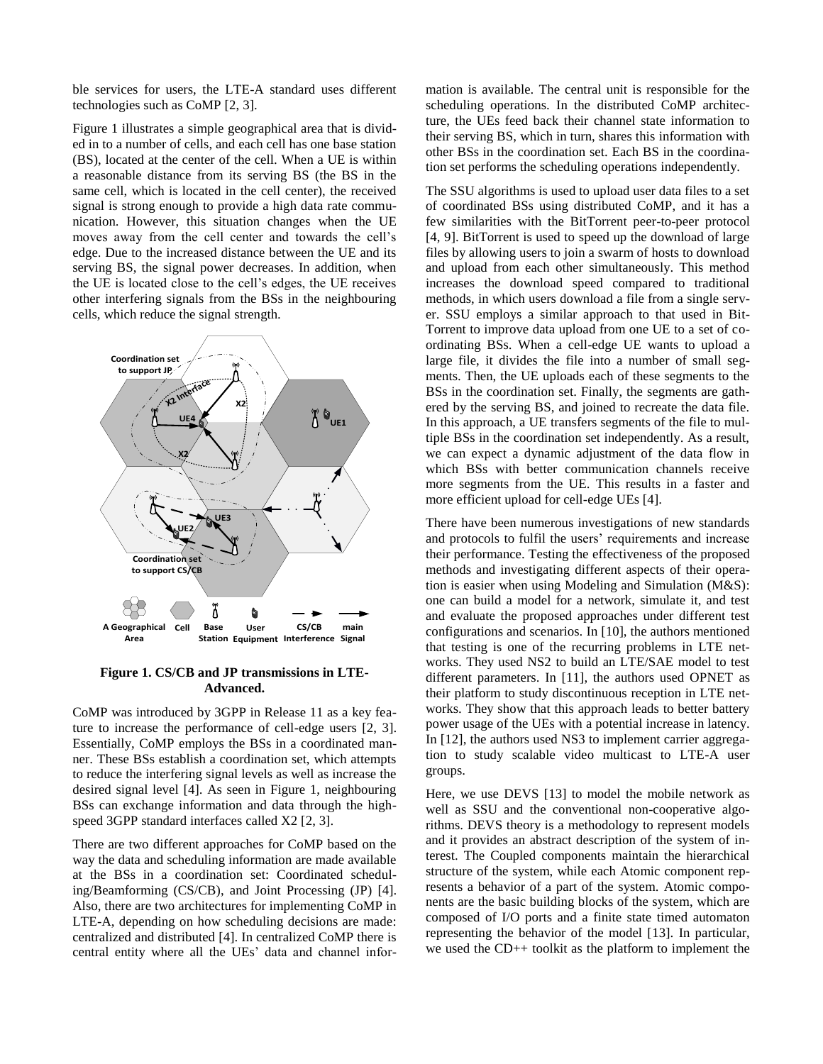ble services for users, the LTE-A standard uses different technologies such as CoMP [2, 3].

Figure 1 illustrates a simple geographical area that is divided in to a number of cells, and each cell has one base station (BS), located at the center of the cell. When a UE is within a reasonable distance from its serving BS (the BS in the same cell, which is located in the cell center), the received signal is strong enough to provide a high data rate communication. However, this situation changes when the UE moves away from the cell center and towards the cell's edge. Due to the increased distance between the UE and its serving BS, the signal power decreases. In addition, when the UE is located close to the cell's edges, the UE receives other interfering signals from the BSs in the neighbouring cells, which reduce the signal strength.



## **Figure 1. CS/CB and JP transmissions in LTE-Advanced.**

CoMP was introduced by 3GPP in Release 11 as a key feature to increase the performance of cell-edge users [2, 3]. Essentially, CoMP employs the BSs in a coordinated manner. These BSs establish a coordination set, which attempts to reduce the interfering signal levels as well as increase the desired signal level [4]. As seen in Figure 1, neighbouring BSs can exchange information and data through the highspeed 3GPP standard interfaces called X2 [2, 3].

There are two different approaches for CoMP based on the way the data and scheduling information are made available at the BSs in a coordination set: Coordinated scheduling/Beamforming (CS/CB), and Joint Processing (JP) [4]. Also, there are two architectures for implementing CoMP in LTE-A, depending on how scheduling decisions are made: centralized and distributed [4]. In centralized CoMP there is central entity where all the UEs' data and channel information is available. The central unit is responsible for the scheduling operations. In the distributed CoMP architecture, the UEs feed back their channel state information to their serving BS, which in turn, shares this information with other BSs in the coordination set. Each BS in the coordination set performs the scheduling operations independently.

The SSU algorithms is used to upload user data files to a set of coordinated BSs using distributed CoMP, and it has a few similarities with the BitTorrent peer-to-peer protocol [4, 9]. BitTorrent is used to speed up the download of large files by allowing users to join a swarm of hosts to download and upload from each other simultaneously. This method increases the download speed compared to traditional methods, in which users download a file from a single server. SSU employs a similar approach to that used in Bit-Torrent to improve data upload from one UE to a set of coordinating BSs. When a cell-edge UE wants to upload a large file, it divides the file into a number of small segments. Then, the UE uploads each of these segments to the BSs in the coordination set. Finally, the segments are gathered by the serving BS, and joined to recreate the data file. In this approach, a UE transfers segments of the file to multiple BSs in the coordination set independently. As a result, we can expect a dynamic adjustment of the data flow in which BSs with better communication channels receive more segments from the UE. This results in a faster and more efficient upload for cell-edge UEs [4].

There have been numerous investigations of new standards and protocols to fulfil the users' requirements and increase their performance. Testing the effectiveness of the proposed methods and investigating different aspects of their operation is easier when using Modeling and Simulation (M&S): one can build a model for a network, simulate it, and test and evaluate the proposed approaches under different test configurations and scenarios. In [10], the authors mentioned that testing is one of the recurring problems in LTE networks. They used NS2 to build an LTE/SAE model to test different parameters. In [11], the authors used OPNET as their platform to study discontinuous reception in LTE networks. They show that this approach leads to better battery power usage of the UEs with a potential increase in latency. In [12], the authors used NS3 to implement carrier aggregation to study scalable video multicast to LTE-A user groups.

Here, we use DEVS [13] to model the mobile network as well as SSU and the conventional non-cooperative algorithms. DEVS theory is a methodology to represent models and it provides an abstract description of the system of interest. The Coupled components maintain the hierarchical structure of the system, while each Atomic component represents a behavior of a part of the system. Atomic components are the basic building blocks of the system, which are composed of I/O ports and a finite state timed automaton representing the behavior of the model [13]. In particular, we used the CD++ toolkit as the platform to implement the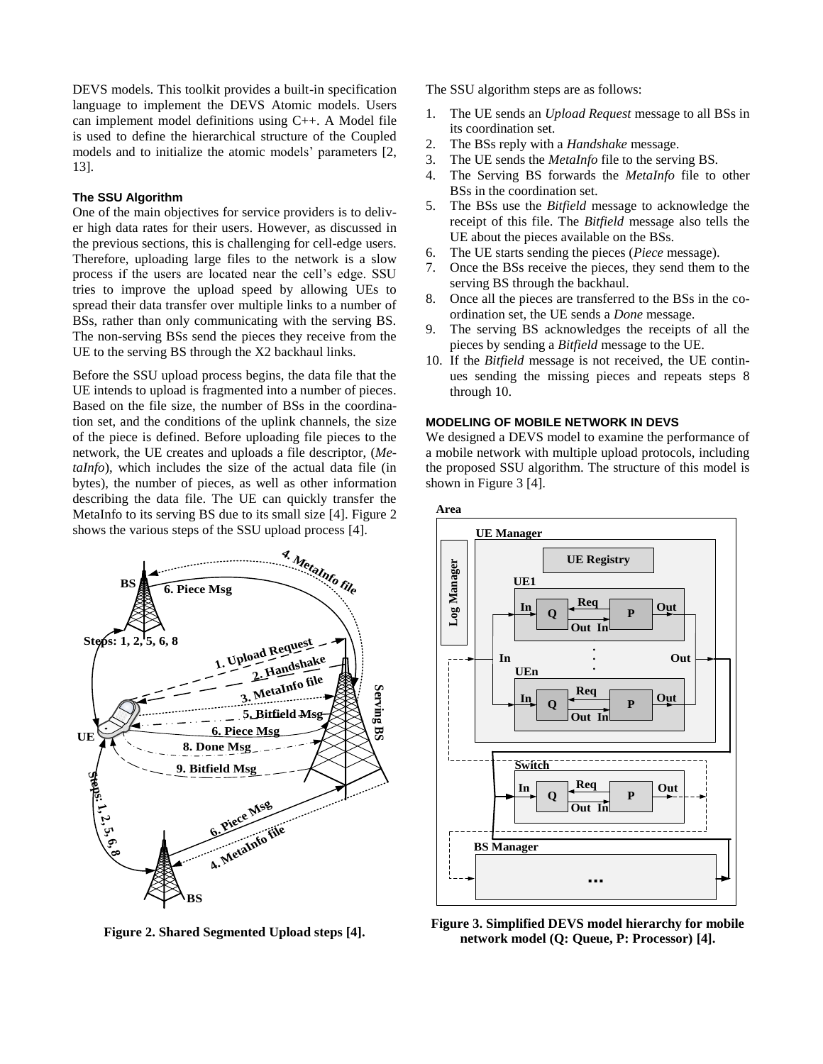DEVS models. This toolkit provides a built-in specification language to implement the DEVS Atomic models. Users can implement model definitions using C++. A Model file is used to define the hierarchical structure of the Coupled models and to initialize the atomic models' parameters [2, 13].

# **The SSU Algorithm**

One of the main objectives for service providers is to deliver high data rates for their users. However, as discussed in the previous sections, this is challenging for cell-edge users. Therefore, uploading large files to the network is a slow process if the users are located near the cell's edge. SSU tries to improve the upload speed by allowing UEs to spread their data transfer over multiple links to a number of BSs, rather than only communicating with the serving BS. The non-serving BSs send the pieces they receive from the UE to the serving BS through the X2 backhaul links.

Before the SSU upload process begins, the data file that the UE intends to upload is fragmented into a number of pieces. Based on the file size, the number of BSs in the coordination set, and the conditions of the uplink channels, the size of the piece is defined. Before uploading file pieces to the network, the UE creates and uploads a file descriptor, (*MetaInfo*), which includes the size of the actual data file (in bytes), the number of pieces, as well as other information describing the data file. The UE can quickly transfer the MetaInfo to its serving BS due to its small size [4]. Figure 2 shows the various steps of the SSU upload process [4].



**Figure 2. Shared Segmented Upload steps [4].**

The SSU algorithm steps are as follows:

- 1. The UE sends an *Upload Request* message to all BSs in its coordination set.
- 2. The BSs reply with a *Handshake* message.
- 3. The UE sends the *MetaInfo* file to the serving BS.
- 4. The Serving BS forwards the *MetaInfo* file to other BSs in the coordination set.
- 5. The BSs use the *Bitfield* message to acknowledge the receipt of this file. The *Bitfield* message also tells the UE about the pieces available on the BSs.
- 6. The UE starts sending the pieces (*Piece* message).
- 7. Once the BSs receive the pieces, they send them to the serving BS through the backhaul.
- 8. Once all the pieces are transferred to the BSs in the coordination set, the UE sends a *Done* message.
- 9. The serving BS acknowledges the receipts of all the pieces by sending a *Bitfield* message to the UE.
- 10. If the *Bitfield* message is not received, the UE continues sending the missing pieces and repeats steps 8 through 10.

# **MODELING OF MOBILE NETWORK IN DEVS**

We designed a DEVS model to examine the performance of a mobile network with multiple upload protocols, including the proposed SSU algorithm. The structure of this model is shown in Figure 3 [4].





**Figure 3. Simplified DEVS model hierarchy for mobile network model (Q: Queue, P: Processor) [4].**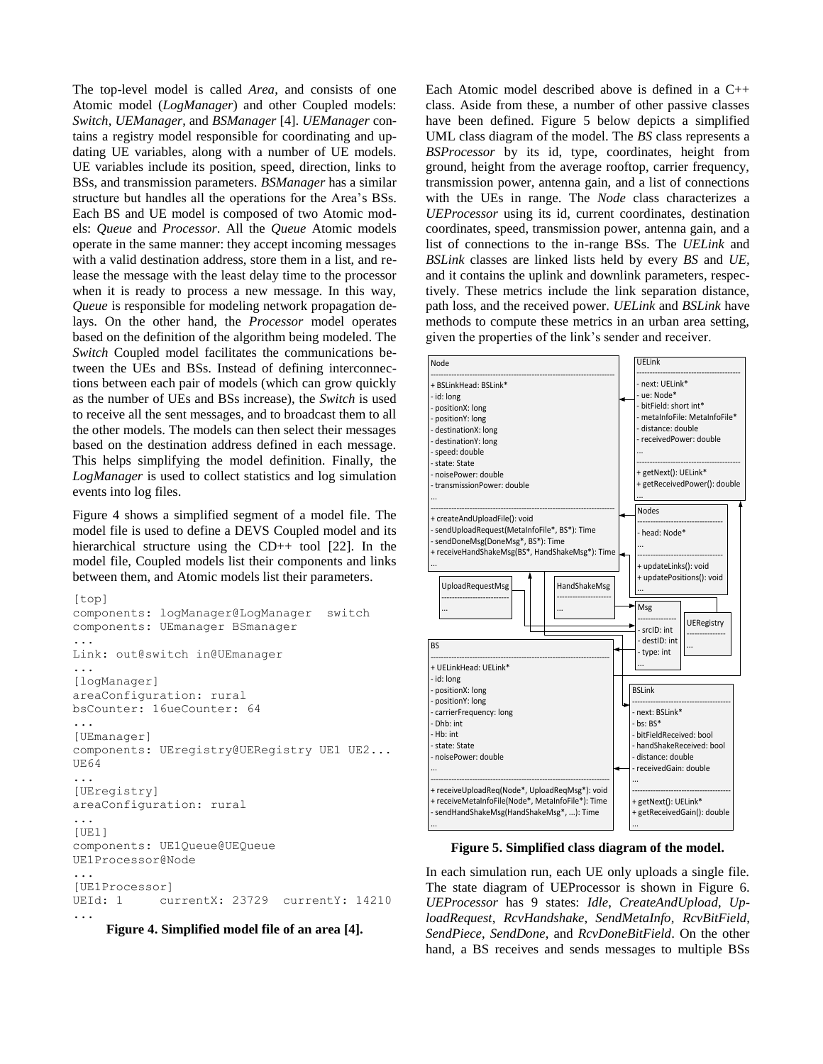The top-level model is called *Area*, and consists of one Atomic model (*LogManager*) and other Coupled models: *Switch*, *UEManager*, and *BSManager* [4]. *UEManager* contains a registry model responsible for coordinating and updating UE variables, along with a number of UE models. UE variables include its position, speed, direction, links to BSs, and transmission parameters. *BSManager* has a similar structure but handles all the operations for the Area's BSs. Each BS and UE model is composed of two Atomic models: *Queue* and *Processor*. All the *Queue* Atomic models operate in the same manner: they accept incoming messages with a valid destination address, store them in a list, and release the message with the least delay time to the processor when it is ready to process a new message. In this way, *Queue* is responsible for modeling network propagation delays. On the other hand, the *Processor* model operates based on the definition of the algorithm being modeled. The *Switch* Coupled model facilitates the communications between the UEs and BSs. Instead of defining interconnections between each pair of models (which can grow quickly as the number of UEs and BSs increase), the *Switch* is used to receive all the sent messages, and to broadcast them to all the other models. The models can then select their messages based on the destination address defined in each message. This helps simplifying the model definition. Finally, the *LogManager* is used to collect statistics and log simulation events into log files.

Figure 4 shows a simplified segment of a model file. The model file is used to define a DEVS Coupled model and its hierarchical structure using the CD++ tool [22]. In the model file, Coupled models list their components and links between them, and Atomic models list their parameters.

```
[top]
components: logManager@LogManager switch
components: UEmanager BSmanager
...
Link: out@switch in@UEmanager
...
[logManager]
areaConfiguration: rural
bsCounter: 16ueCounter: 64
...
[UEmanager]
components: UEregistry@UERegistry UE1 UE2... 
UE64
...
[UEregistry]
areaConfiguration: rural
...
[UE1]
components: UE1Queue@UEQueue 
UE1Processor@Node
...
[UE1Processor]
UEId: 1 currentX: 23729 currentY: 14210
```
**Figure 4. Simplified model file of an area [4].**

...

Each Atomic model described above is defined in a C++ class. Aside from these, a number of other passive classes have been defined. Figure 5 below depicts a simplified UML class diagram of the model. The *BS* class represents a *BSProcessor* by its id, type, coordinates, height from ground, height from the average rooftop, carrier frequency, transmission power, antenna gain, and a list of connections with the UEs in range. The *Node* class characterizes a *UEProcessor* using its id, current coordinates, destination coordinates, speed, transmission power, antenna gain, and a list of connections to the in-range BSs. The *UELink* and *BSLink* classes are linked lists held by every *BS* and *UE,*  and it contains the uplink and downlink parameters, respectively. These metrics include the link separation distance, path loss, and the received power. *UELink* and *BSLink* have methods to compute these metrics in an urban area setting, given the properties of the link's sender and receiver.



**Figure 5. Simplified class diagram of the model.**

In each simulation run, each UE only uploads a single file. The state diagram of UEProcessor is shown in Figure 6. *UEProcessor* has 9 states: *Idle*, *CreateAndUpload*, *UploadRequest*, *RcvHandshake*, *SendMetaInfo*, *RcvBitField*, *SendPiece*, *SendDone*, and *RcvDoneBitField*. On the other hand, a BS receives and sends messages to multiple BSs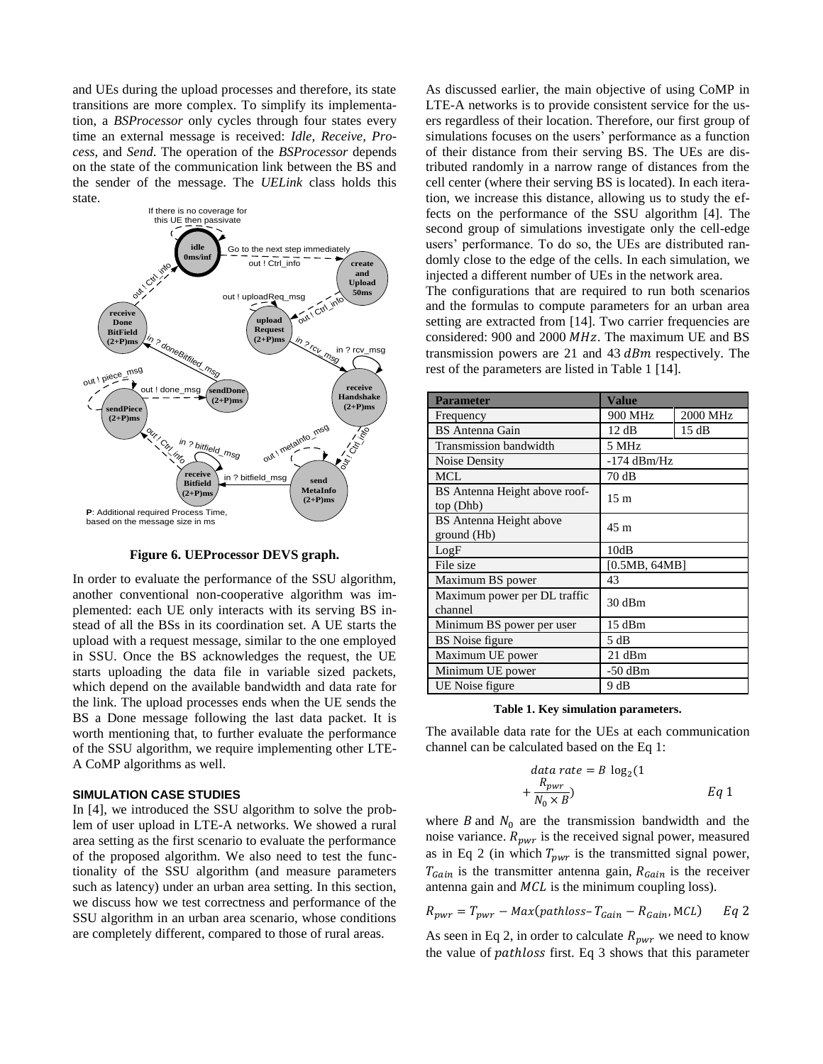and UEs during the upload processes and therefore, its state transitions are more complex. To simplify its implementation, a *BSProcessor* only cycles through four states every time an external message is received: *Idle, Receive, Process*, and *Send*. The operation of the *BSProcessor* depends on the state of the communication link between the BS and the sender of the message. The *UELink* class holds this state.



**Figure 6. UEProcessor DEVS graph.**

In order to evaluate the performance of the SSU algorithm, another conventional non-cooperative algorithm was implemented: each UE only interacts with its serving BS instead of all the BSs in its coordination set. A UE starts the upload with a request message, similar to the one employed in SSU. Once the BS acknowledges the request, the UE starts uploading the data file in variable sized packets, which depend on the available bandwidth and data rate for the link. The upload processes ends when the UE sends the BS a Done message following the last data packet. It is worth mentioning that, to further evaluate the performance of the SSU algorithm, we require implementing other LTE-A CoMP algorithms as well.

#### **SIMULATION CASE STUDIES**

In [4], we introduced the SSU algorithm to solve the problem of user upload in LTE-A networks. We showed a rural area setting as the first scenario to evaluate the performance of the proposed algorithm. We also need to test the functionality of the SSU algorithm (and measure parameters such as latency) under an urban area setting. In this section, we discuss how we test correctness and performance of the SSU algorithm in an urban area scenario, whose conditions are completely different, compared to those of rural areas.

As discussed earlier, the main objective of using CoMP in LTE-A networks is to provide consistent service for the users regardless of their location. Therefore, our first group of simulations focuses on the users' performance as a function of their distance from their serving BS. The UEs are distributed randomly in a narrow range of distances from the cell center (where their serving BS is located). In each iteration, we increase this distance, allowing us to study the effects on the performance of the SSU algorithm [4]. The second group of simulations investigate only the cell-edge users' performance. To do so, the UEs are distributed randomly close to the edge of the cells. In each simulation, we injected a different number of UEs in the network area.

The configurations that are required to run both scenarios and the formulas to compute parameters for an urban area setting are extracted from [14]. Two carrier frequencies are considered:  $900$  and  $2000$   $MHz$ . The maximum UE and BS transmission powers are 21 and 43  $dBm$  respectively. The rest of the parameters are listed in Table 1 [14].

| <b>Parameter</b>                              | Value           |          |
|-----------------------------------------------|-----------------|----------|
| Frequency                                     | 900 MHz         | 2000 MHz |
| <b>BS</b> Antenna Gain                        | 12dB            | 15dB     |
| Transmission bandwidth                        | 5 MHz           |          |
| Noise Density                                 | $-174$ dBm/Hz   |          |
| <b>MCL</b>                                    | 70dB            |          |
| BS Antenna Height above roof-<br>top (Dhb)    | 15 <sub>m</sub> |          |
| <b>BS</b> Antenna Height above<br>ground (Hb) | 45 m            |          |
| LogF                                          | 10dB            |          |
| File size                                     | [0.5MB, 64MB]   |          |
| Maximum BS power                              | 43              |          |
| Maximum power per DL traffic<br>channel       | 30 dBm          |          |
| Minimum BS power per user                     | 15 dBm          |          |
| <b>BS</b> Noise figure                        | 5 dB            |          |
| Maximum UE power                              | 21 dBm          |          |
| Minimum UE power                              | $-50$ dBm       |          |
| UE Noise figure                               | 9 dB            |          |

**Table 1. Key simulation parameters.**

The available data rate for the UEs at each communication channel can be calculated based on the Eq 1:

$$
data rate = B log2(1 + \frac{R_{pwr}}{N_0 \times B}) \tEq 1
$$

where B and  $N_0$  are the transmission bandwidth and the noise variance.  $R_{\text{pwr}}$  is the received signal power, measured as in Eq 2 (in which  $T_{\text{pwr}}$  is the transmitted signal power,  $T_{Gain}$  is the transmitter antenna gain,  $R_{Gain}$  is the receiver antenna gain and  $MCL$  is the minimum coupling loss).

$$
R_{pwr} = T_{pwr} - Max(pathloss - T_{Gain} - R_{Gain}, MCL)
$$
 Eq 2

As seen in Eq 2, in order to calculate  $R_{\text{pwr}}$  we need to know the value of *pathloss* first. Eq 3 shows that this parameter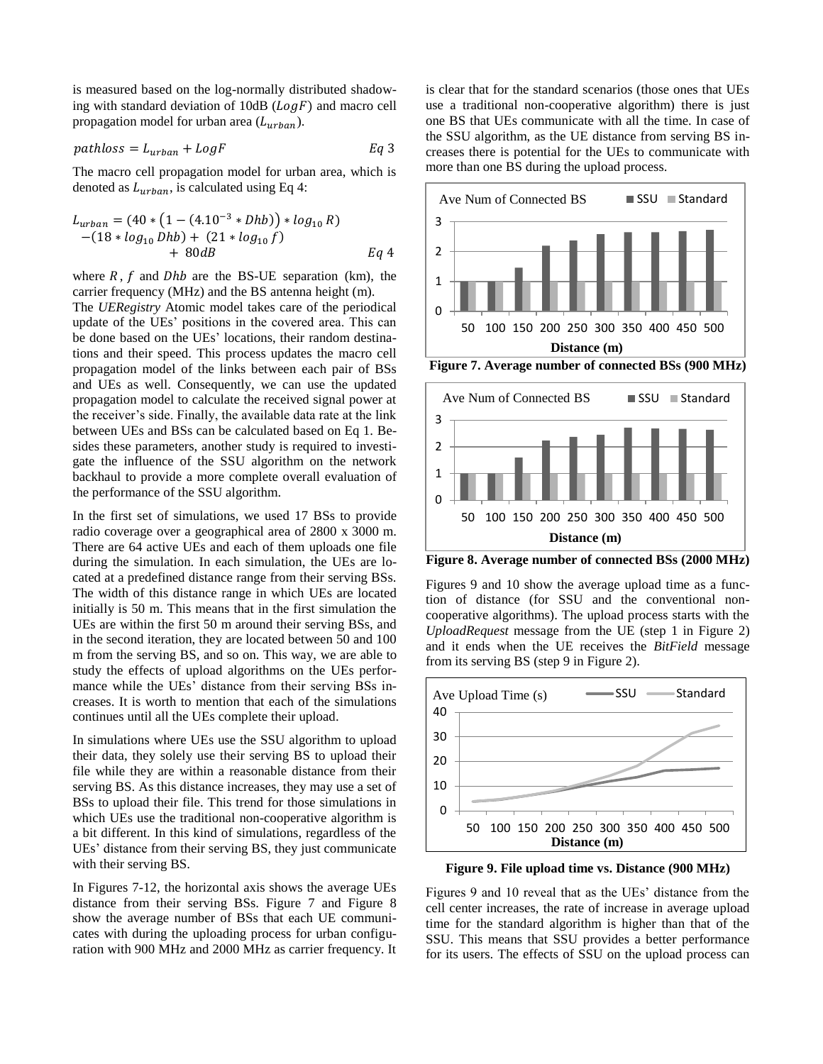is measured based on the log-normally distributed shadowing with standard deviation of  $10dB (Log F)$  and macro cell propagation model for urban area  $(L_{urban})$ .

$$
pathloss = L_{urban} + LogF
$$

The macro cell propagation model for urban area, which is denoted as  $L_{urban}$ , is calculated using Eq 4:

$$
L_{urban} = (40 * (1 - (4.10^{-3} * Dhb)) * log_{10} R)
$$
  
- (18 \* log<sub>10</sub> Dhb) + (21 \* log<sub>10</sub> f)  
+ 80dB  
Eq 4

where  $R$ ,  $f$  and  $Dhb$  are the BS-UE separation (km), the carrier frequency (MHz) and the BS antenna height (m).

The *UERegistry* Atomic model takes care of the periodical update of the UEs' positions in the covered area. This can be done based on the UEs' locations, their random destinations and their speed. This process updates the macro cell propagation model of the links between each pair of BSs and UEs as well. Consequently, we can use the updated propagation model to calculate the received signal power at the receiver's side. Finally, the available data rate at the link between UEs and BSs can be calculated based on Eq 1. Besides these parameters, another study is required to investigate the influence of the SSU algorithm on the network backhaul to provide a more complete overall evaluation of the performance of the SSU algorithm.

In the first set of simulations, we used 17 BSs to provide radio coverage over a geographical area of 2800 x 3000 m. There are 64 active UEs and each of them uploads one file during the simulation. In each simulation, the UEs are located at a predefined distance range from their serving BSs. The width of this distance range in which UEs are located initially is 50 m. This means that in the first simulation the UEs are within the first 50 m around their serving BSs, and in the second iteration, they are located between 50 and 100 m from the serving BS, and so on. This way, we are able to study the effects of upload algorithms on the UEs performance while the UEs' distance from their serving BSs increases. It is worth to mention that each of the simulations continues until all the UEs complete their upload.

In simulations where UEs use the SSU algorithm to upload their data, they solely use their serving BS to upload their file while they are within a reasonable distance from their serving BS. As this distance increases, they may use a set of BSs to upload their file. This trend for those simulations in which UEs use the traditional non-cooperative algorithm is a bit different. In this kind of simulations, regardless of the UEs' distance from their serving BS, they just communicate with their serving BS.

In Figures 7-12, the horizontal axis shows the average UEs distance from their serving BSs. Figure 7 and Figure 8 show the average number of BSs that each UE communicates with during the uploading process for urban configuration with 900 MHz and 2000 MHz as carrier frequency. It is clear that for the standard scenarios (those ones that UEs use a traditional non-cooperative algorithm) there is just one BS that UEs communicate with all the time. In case of the SSU algorithm, as the UE distance from serving BS increases there is potential for the UEs to communicate with more than one BS during the upload process.





**Figure 8. Average number of connected BSs (2000 MHz)**

Figures 9 and 10 show the average upload time as a function of distance (for SSU and the conventional noncooperative algorithms). The upload process starts with the *UploadRequest* message from the UE (step 1 in Figure 2) and it ends when the UE receives the *BitField* message from its serving BS (step 9 in Figure 2).



**Figure 9. File upload time vs. Distance (900 MHz)**

Figures 9 and 10 reveal that as the UEs' distance from the cell center increases, the rate of increase in average upload time for the standard algorithm is higher than that of the SSU. This means that SSU provides a better performance for its users. The effects of SSU on the upload process can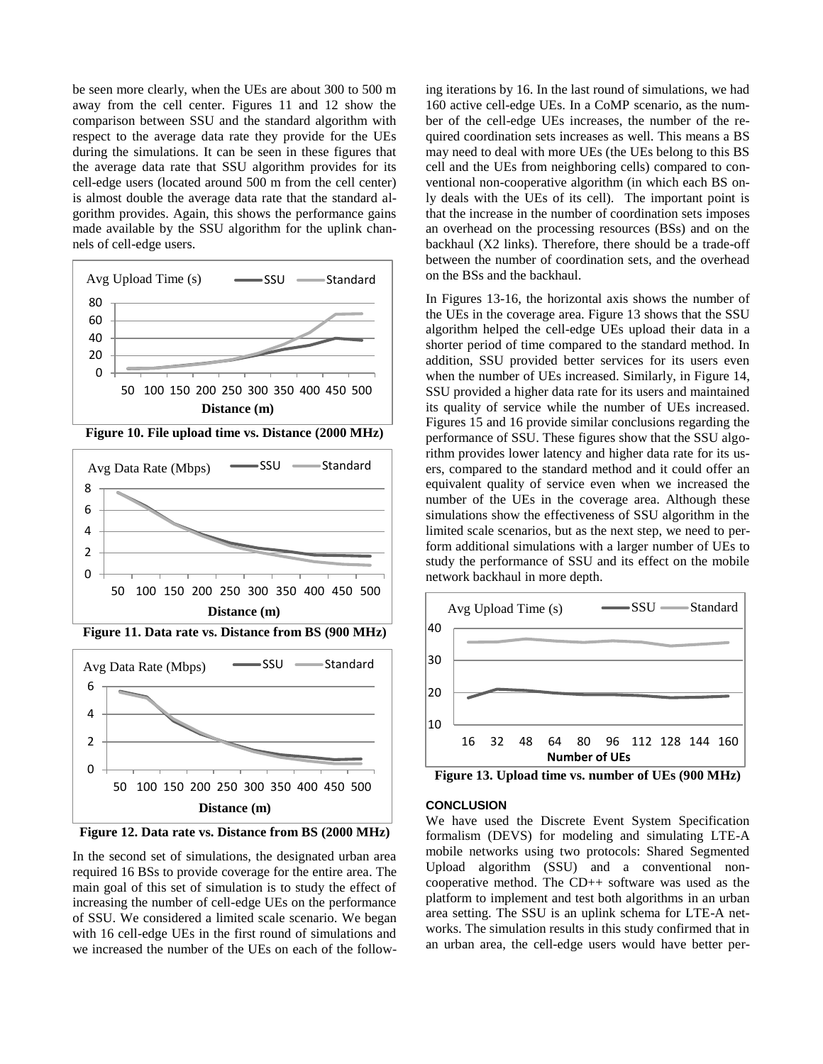be seen more clearly, when the UEs are about 300 to 500 m away from the cell center. Figures 11 and 12 show the comparison between SSU and the standard algorithm with respect to the average data rate they provide for the UEs during the simulations. It can be seen in these figures that the average data rate that SSU algorithm provides for its cell-edge users (located around 500 m from the cell center) is almost double the average data rate that the standard algorithm provides. Again, this shows the performance gains made available by the SSU algorithm for the uplink channels of cell-edge users.



**Figure 10. File upload time vs. Distance (2000 MHz)**



**Figure 12. Data rate vs. Distance from BS (2000 MHz) Distance (m)**

In the second set of simulations, the designated urban area required 16 BSs to provide coverage for the entire area. The main goal of this set of simulation is to study the effect of increasing the number of cell-edge UEs on the performance of SSU. We considered a limited scale scenario. We began with 16 cell-edge UEs in the first round of simulations and we increased the number of the UEs on each of the following iterations by 16. In the last round of simulations, we had 160 active cell-edge UEs. In a CoMP scenario, as the number of the cell-edge UEs increases, the number of the required coordination sets increases as well. This means a BS may need to deal with more UEs (the UEs belong to this BS cell and the UEs from neighboring cells) compared to conventional non-cooperative algorithm (in which each BS only deals with the UEs of its cell). The important point is that the increase in the number of coordination sets imposes an overhead on the processing resources (BSs) and on the backhaul (X2 links). Therefore, there should be a trade-off between the number of coordination sets, and the overhead on the BSs and the backhaul.

In Figures 13-16, the horizontal axis shows the number of the UEs in the coverage area. Figure 13 shows that the SSU algorithm helped the cell-edge UEs upload their data in a shorter period of time compared to the standard method. In addition, SSU provided better services for its users even when the number of UEs increased. Similarly, in Figure 14, SSU provided a higher data rate for its users and maintained its quality of service while the number of UEs increased. Figures 15 and 16 provide similar conclusions regarding the performance of SSU. These figures show that the SSU algorithm provides lower latency and higher data rate for its users, compared to the standard method and it could offer an equivalent quality of service even when we increased the number of the UEs in the coverage area. Although these simulations show the effectiveness of SSU algorithm in the limited scale scenarios, but as the next step, we need to perform additional simulations with a larger number of UEs to study the performance of SSU and its effect on the mobile network backhaul in more depth.



**Figure 13. Upload time vs. number of UEs (900 MHz)**

## **CONCLUSION**

We have used the Discrete Event System Specification formalism (DEVS) for modeling and simulating LTE-A mobile networks using two protocols: Shared Segmented Upload algorithm (SSU) and a conventional noncooperative method. The CD++ software was used as the platform to implement and test both algorithms in an urban area setting. The SSU is an uplink schema for LTE-A networks. The simulation results in this study confirmed that in an urban area, the cell-edge users would have better per